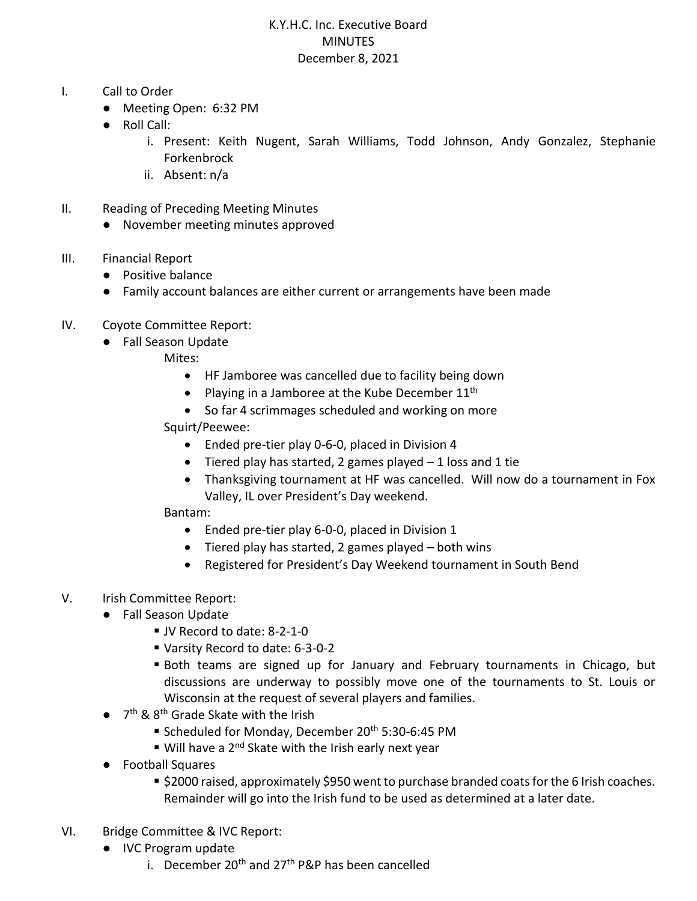## K.Y.H.C. Inc. Executive Board MINUTES December 8, 2021

- I. Call to Order
	- Meeting Open: 6:32 PM
	- Roll Call:
		- i. Present: Keith Nugent, Sarah Williams, Todd Johnson, Andy Gonzalez, Stephanie Forkenbrock
		- ii. Absent: n/a
- II. Reading of Preceding Meeting Minutes
	- November meeting minutes approved
- III. Financial Report
	- Positive balance
	- Family account balances are either current or arrangements have been made
- IV. Coyote Committee Report:
	- Fall Season Update
		- Mites:
			- HF Jamboree was cancelled due to facility being down
			- Playing in a Jamboree at the Kube December  $11<sup>th</sup>$
			- So far 4 scrimmages scheduled and working on more

Squirt/Peewee:

- Ended pre-tier play 0-6-0, placed in Division 4
- Tiered play has started, 2 games played  $-1$  loss and 1 tie
- Thanksgiving tournament at HF was cancelled. Will now do a tournament in Fox Valley, IL over President's Day weekend.

Bantam:

- Ended pre-tier play 6-0-0, placed in Division 1
- Tiered play has started, 2 games played both wins
- Registered for President's Day Weekend tournament in South Bend

## V. Irish Committee Report:

- Fall Season Update
	- JV Record to date: 8-2-1-0
	- Varsity Record to date: 6-3-0-2
	- Both teams are signed up for January and February tournaments in Chicago, but discussions are underway to possibly move one of the tournaments to St. Louis or Wisconsin at the request of several players and families.
- 7<sup>th</sup> & 8<sup>th</sup> Grade Skate with the Irish
	- Scheduled for Monday, December 20<sup>th</sup> 5:30-6:45 PM
	- Will have a 2<sup>nd</sup> Skate with the Irish early next year
- Football Squares
	- \$2000 raised, approximately \$950 went to purchase branded coats for the 6 Irish coaches. Remainder will go into the Irish fund to be used as determined at a later date.
- VI. Bridge Committee & IVC Report:
	- IVC Program update
		- i. December 20<sup>th</sup> and 27<sup>th</sup> P&P has been cancelled